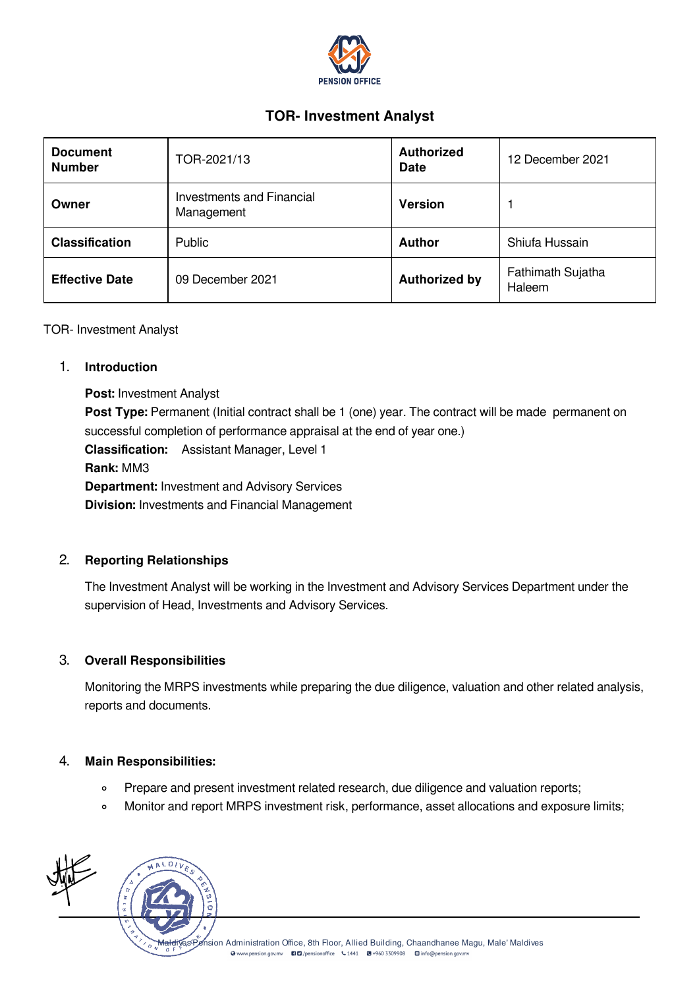

# TOR- Investment Analyst

| <b>Document</b><br><b>Number</b> | TOR-2021/13                                    | <b>Authorized</b><br><b>Date</b> | 12 December 2021            |
|----------------------------------|------------------------------------------------|----------------------------------|-----------------------------|
| Owner                            | <b>Investments and Financial</b><br>Management | <b>Version</b>                   |                             |
| <b>Classification</b>            | Public                                         | <b>Author</b>                    | Shiufa Hussain              |
| <b>Effective Date</b>            | 09 December 2021                               | <b>Authorized by</b>             | Fathimath Sujatha<br>Haleem |

TOR- Investment Analyst

#### 1. Introduction

Post: Investment Analyst Post Type: Permanent (Initial contract shall be 1 (one) year. The contract will be made permanent on successful completion of performance appraisal at the end of year one.) Classification: Assistant Manager, Level 1 Rank: MM3 Department: Investment and Advisory Services Division: Investments and Financial Management

### 2. Reporting Relationships

The Investment Analyst will be working in the Investment and Advisory Services Department under the supervision of Head, Investments and Advisory Services.

#### 3. Overall Responsibilities

Monitoring the MRPS investments while preparing the due diligence, valuation and other related analysis, reports and documents.

#### 4. Main Responsibilities:

- Prepare and present investment related research, due diligence and valuation reports;  $\circ$
- Monitor and report MRPS investment risk, performance, asset allocations and exposure limits; $\sigma$